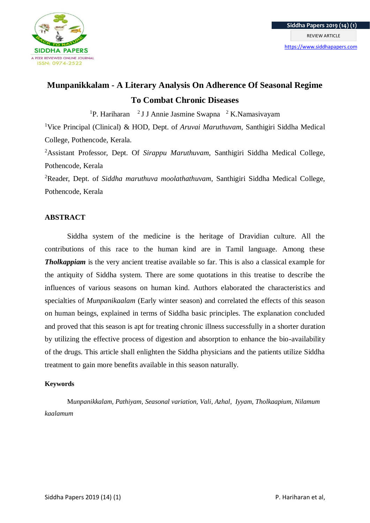

# **Munpanikkalam - A Literary Analysis On Adherence Of Seasonal Regime To Combat Chronic Diseases**

<sup>1</sup>P. Hariharan <sup>2</sup> J J Annie Jasmine Swapna <sup>2</sup> K.Namasivayam

<sup>1</sup>Vice Principal (Clinical) & HOD, Dept. of *Aruvai Maruthuvam,* Santhigiri Siddha Medical College, Pothencode, Kerala.

<sup>2</sup>Assistant Professor, Dept. Of *Sirappu Maruthuvam,* Santhigiri Siddha Medical College, Pothencode, Kerala

<sup>2</sup>Reader, Dept. of *Siddha maruthuva moolathathuvam,* Santhigiri Siddha Medical College, Pothencode, Kerala

# **ABSTRACT**

Siddha system of the medicine is the heritage of Dravidian culture. All the contributions of this race to the human kind are in Tamil language. Among these *Tholkappiam* is the very ancient treatise available so far. This is also a classical example for the antiquity of Siddha system. There are some quotations in this treatise to describe the influences of various seasons on human kind. Authors elaborated the characteristics and specialties of *Munpanikaalam* (Early winter season) and correlated the effects of this season on human beings, explained in terms of Siddha basic principles. The explanation concluded and proved that this season is apt for treating chronic illness successfully in a shorter duration by utilizing the effective process of digestion and absorption to enhance the bio-availability of the drugs. This article shall enlighten the Siddha physicians and the patients utilize Siddha treatment to gain more benefits available in this season naturally.

## **Keywords**

M*unpanikkalam, Pathiyam, Seasonal variation, Vali, Azhal, Iyyam, Tholkaapium, Nilamum kaalamum*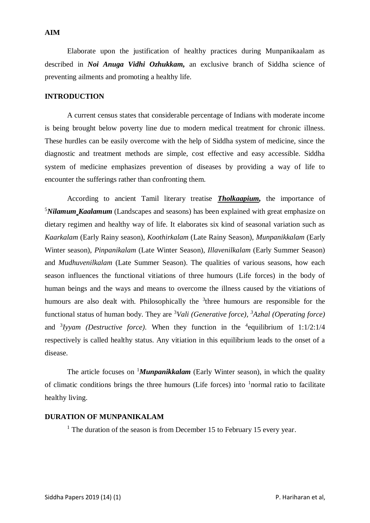#### **AIM**

Elaborate upon the justification of healthy practices during Munpanikaalam as described in *Noi Anuga Vidhi Ozhukkam,* an exclusive branch of Siddha science of preventing ailments and promoting a healthy life.

## **INTRODUCTION**

A current census states that considerable percentage of Indians with moderate income is being brought below poverty line due to modern medical treatment for chronic illness. These hurdles can be easily overcome with the help of Siddha system of medicine, since the diagnostic and treatment methods are simple, cost effective and easy accessible. Siddha system of medicine emphasizes prevention of diseases by providing a way of life to encounter the sufferings rather than confronting them.

According to ancient Tamil literary treatise *Tholkaapium,* the importance of <sup>5</sup>*Nilamum Kaalamum* (Landscapes and seasons) has been explained with great emphasize on dietary regimen and healthy way of life. It elaborates six kind of seasonal variation such as *Kaarkalam* (Early Rainy season), *Koothirkalam* (Late Rainy Season), *Munpanikkalam* (Early Winter season), *Pinpanikalam* (Late Winter Season), *Illavenilkalam* (Early Summer Season) and *Mudhuvenilkalam* (Late Summer Season). The qualities of various seasons, how each season influences the functional vitiations of three humours (Life forces) in the body of human beings and the ways and means to overcome the illness caused by the vitiations of humours are also dealt with. Philosophically the  $3$ three humours are responsible for the functional status of human body. They are <sup>3</sup>*Vali (Generative force), <sup>3</sup>Azhal (Operating force)* and  $3$ *Iyyam (Destructive force)*. When they function in the  $4$ equilibrium of 1:1/2:1/4 respectively is called healthy status. Any vitiation in this equilibrium leads to the onset of a disease.

The article focuses on <sup>1</sup>*Munpanikkalam* (Early Winter season), in which the quality of climatic conditions brings the three humours (Life forces) into <sup>1</sup>normal ratio to facilitate healthy living.

#### **DURATION OF MUNPANIKALAM**

 $1$  The duration of the season is from December 15 to February 15 every year.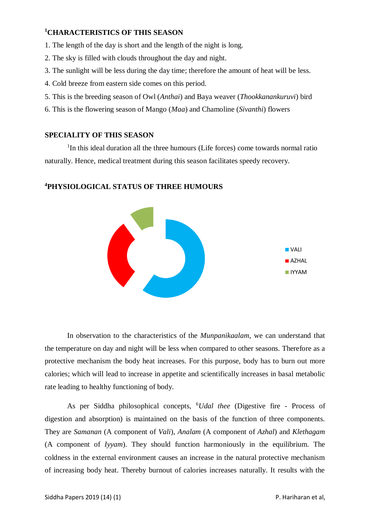# **<sup>1</sup>CHARACTERISTICS OF THIS SEASON**

- 1. The length of the day is short and the length of the night is long.
- 2. The sky is filled with clouds throughout the day and night.
- 3. The sunlight will be less during the day time; therefore the amount of heat will be less.
- 4. Cold breeze from eastern side comes on this period.
- 5. This is the breeding season of Owl (*Anthai*) and Baya weaver (*Thookkanankuruvi*) bird
- 6. This is the flowering season of Mango (*Maa*) and Chamoline (*Sivanthi*) flowers

## **SPECIALITY OF THIS SEASON**

<sup>1</sup>In this ideal duration all the three humours (Life forces) come towards normal ratio naturally. Hence, medical treatment during this season facilitates speedy recovery.

# **<sup>4</sup>PHYSIOLOGICAL STATUS OF THREE HUMOURS**



In observation to the characteristics of the *Munpanikaalam*, we can understand that the temperature on day and night will be less when compared to other seasons. Therefore as a protective mechanism the body heat increases. For this purpose, body has to burn out more calories; which will lead to increase in appetite and scientifically increases in basal metabolic rate leading to healthy functioning of body.

As per Siddha philosophical concepts, <sup>6</sup>*Udal thee* (Digestive fire - Process of digestion and absorption) is maintained on the basis of the function of three components. They are *Samanan* (A component of *Vali*), *Analam* (A component of *Azhal*) and *Klethagam* (A component of *Iyyam*). They should function harmoniously in the equilibrium. The coldness in the external environment causes an increase in the natural protective mechanism of increasing body heat. Thereby burnout of calories increases naturally. It results with the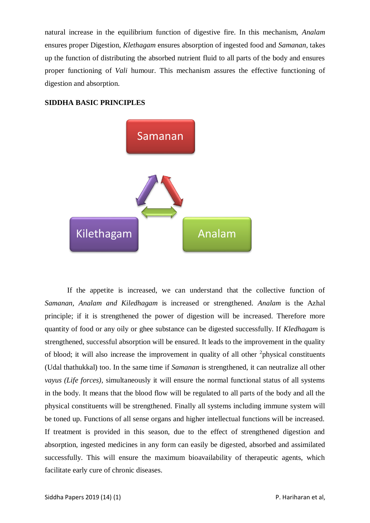natural increase in the equilibrium function of digestive fire. In this mechanism, *Analam* ensures proper Digestion, *Klethagam* ensures absorption of ingested food and *Samanan,* takes up the function of distributing the absorbed nutrient fluid to all parts of the body and ensures proper functioning of *Vali* humour. This mechanism assures the effective functioning of digestion and absorption.

## **SIDDHA BASIC PRINCIPLES**



If the appetite is increased, we can understand that the collective function of *Samanan, Analam and Kiledhagam* is increased or strengthened. *Analam* is the Azhal principle; if it is strengthened the power of digestion will be increased. Therefore more quantity of food or any oily or ghee substance can be digested successfully. If *Kledhagam* is strengthened, successful absorption will be ensured. It leads to the improvement in the quality of blood; it will also increase the improvement in quality of all other  $2$ physical constituents (Udal thathukkal) too. In the same time if *Samanan* is strengthened, it can neutralize all other *vayus (Life forces)*, simultaneously it will ensure the normal functional status of all systems in the body. It means that the blood flow will be regulated to all parts of the body and all the physical constituents will be strengthened. Finally all systems including immune system will be toned up. Functions of all sense organs and higher intellectual functions will be increased. If treatment is provided in this season, due to the effect of strengthened digestion and absorption, ingested medicines in any form can easily be digested, absorbed and assimilated successfully. This will ensure the maximum bioavailability of therapeutic agents, which facilitate early cure of chronic diseases.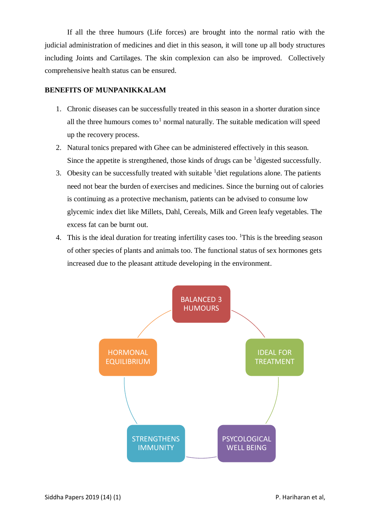If all the three humours (Life forces) are brought into the normal ratio with the judicial administration of medicines and diet in this season, it will tone up all body structures including Joints and Cartilages. The skin complexion can also be improved. Collectively comprehensive health status can be ensured.

## **BENEFITS OF MUNPANIKKALAM**

- 1. Chronic diseases can be successfully treated in this season in a shorter duration since all the three humours comes to<sup>1</sup> normal naturally. The suitable medication will speed up the recovery process.
- 2. Natural tonics prepared with Ghee can be administered effectively in this season. Since the appetite is strengthened, those kinds of drugs can be  $\frac{1}{1}$  digested successfully.
- 3. Obesity can be successfully treated with suitable  $<sup>1</sup>$  diet regulations alone. The patients</sup> need not bear the burden of exercises and medicines. Since the burning out of calories is continuing as a protective mechanism, patients can be advised to consume low glycemic index diet like Millets, Dahl, Cereals, Milk and Green leafy vegetables. The excess fat can be burnt out.
- 4. This is the ideal duration for treating infertility cases too. <sup>1</sup>This is the breeding season of other species of plants and animals too. The functional status of sex hormones gets increased due to the pleasant attitude developing in the environment.